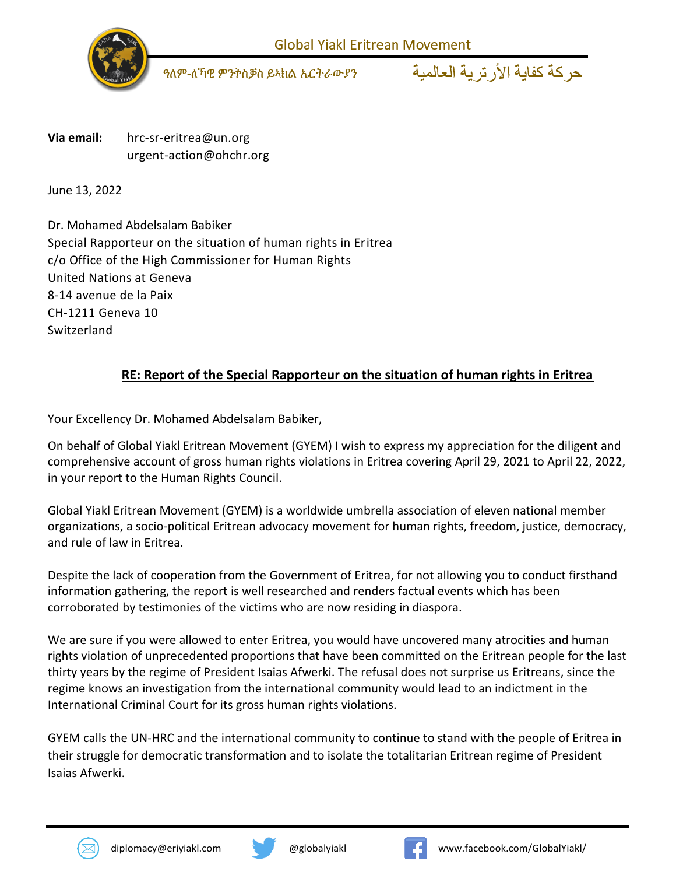

*ዓ*ለም-ለኻዊ ምንቅስቓስ ይኣክል ኤርትራውያን

حركة كفاية الأر تر ية العالمية

**Via email:** [hrc-sr-eritrea@un.org](mailto:hrc-sr-eritrea@un.org) [urgent-action@ohchr.org](mailto:urgent-action@ohchr.org)

June 13, 2022

Dr. Mohamed Abdelsalam Babiker Special Rapporteur on the situation of human rights in Eritrea c/o Office of the High Commissioner for Human Rights United Nations at Geneva 8-14 avenue de la Paix CH-1211 Geneva 10 Switzerland

## **RE: Report of the Special Rapporteur on the situation of human rights in Eritrea**

Your Excellency Dr. Mohamed Abdelsalam Babiker,

On behalf of Global Yiakl Eritrean Movement (GYEM) I wish to express my appreciation for the diligent and comprehensive account of gross human rights violations in Eritrea covering April 29, 2021 to April 22, 2022, in your report to the Human Rights Council.

Global Yiakl Eritrean Movement (GYEM) is a worldwide umbrella association of eleven national member organizations, a socio-political Eritrean advocacy movement for human rights, freedom, justice, democracy, and rule of law in Eritrea.

Despite the lack of cooperation from the Government of Eritrea, for not allowing you to conduct firsthand information gathering, the report is well researched and renders factual events which has been corroborated by testimonies of the victims who are now residing in diaspora.

We are sure if you were allowed to enter Eritrea, you would have uncovered many atrocities and human rights violation of unprecedented proportions that have been committed on the Eritrean people for the last thirty years by the regime of President Isaias Afwerki. The refusal does not surprise us Eritreans, since the regime knows an investigation from the international community would lead to an indictment in the International Criminal Court for its gross human rights violations.

GYEM calls the UN-HRC and the international community to continue to stand with the people of Eritrea in their struggle for democratic transformation and to isolate the totalitarian Eritrean regime of President Isaias Afwerki.